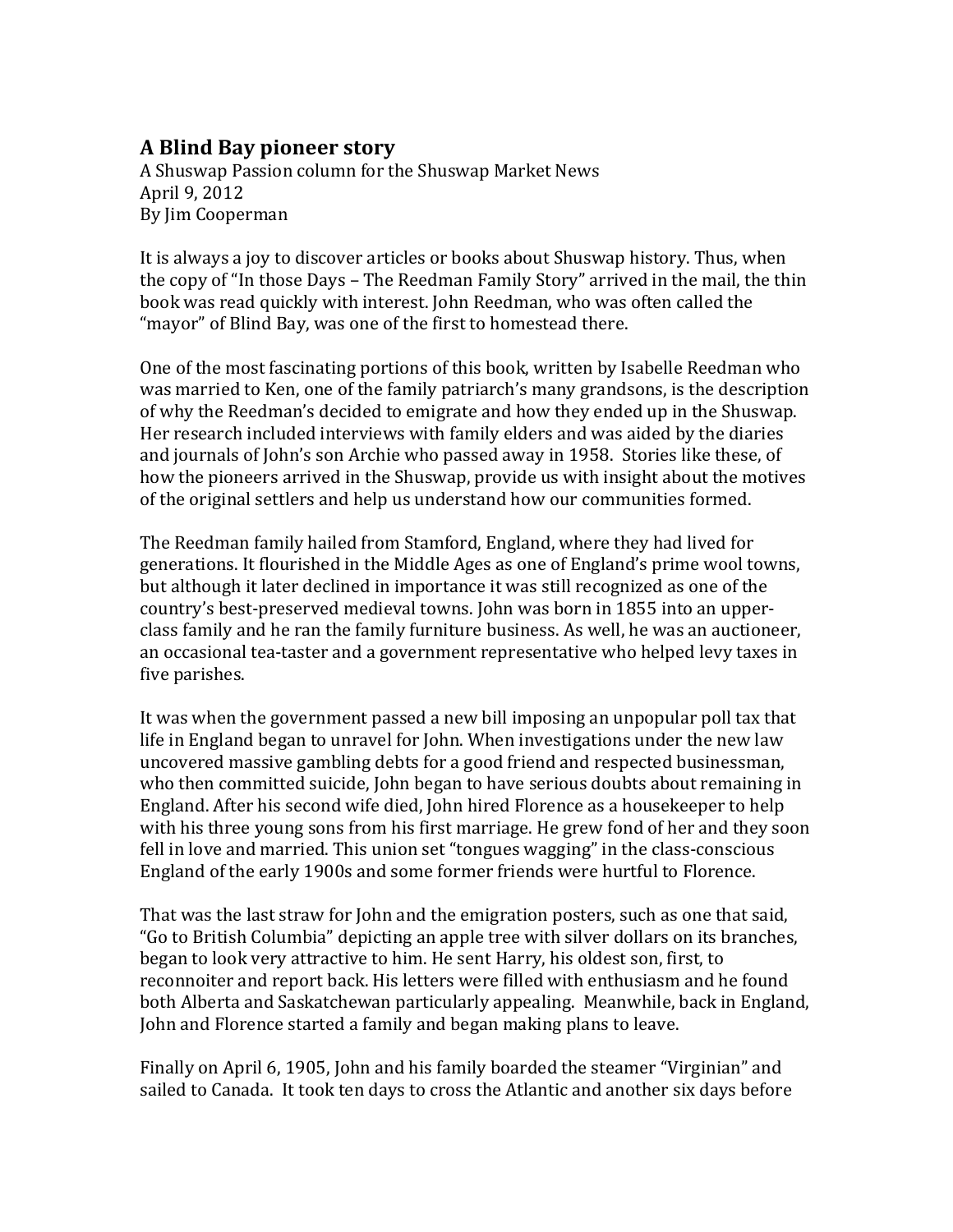## **A"Blind"Bay"pioneer"story**

A Shuswap Passion column for the Shuswap Market News April 9, 2012 By Jim!Cooperman

It is always a joy to discover articles or books about Shuswap history. Thus, when the copy of "In those Days – The Reedman Family Story" arrived in the mail, the thin book was read quickly with interest. John Reedman, who was often called the "mayor" of Blind Bay, was one of the first to homestead there.

One of the most fascinating portions of this book, written by Isabelle Reedman who was married to Ken, one of the family patriarch's many grandsons, is the description of why the Reedman's decided to emigrate and how they ended up in the Shuswap. Her research included interviews with family elders and was aided by the diaries and journals of John's son Archie who passed away in 1958. Stories like these, of how the pioneers arrived in the Shuswap, provide us with insight about the motives of the original settlers and help us understand how our communities formed.

The Reedman family hailed from Stamford, England, where they had lived for generations. It flourished in the Middle Ages as one of England's prime wool towns, but although it later declined in importance it was still recognized as one of the country's best-preserved medieval towns. John was born in 1855 into an upperclass family and he ran the family furniture business. As well, he was an auctioneer, an occasional tea-taster and a government representative who helped levy taxes in five parishes.

It was when the government passed a new bill imposing an unpopular poll tax that life in England began to unravel for John. When investigations under the new law uncovered massive gambling debts for a good friend and respected businessman, who then committed suicide, John began to have serious doubts about remaining in England. After his second wife died, John hired Florence as a housekeeper to help with his three young sons from his first marriage. He grew fond of her and they soon fell in love and married. This union set "tongues wagging" in the class-conscious England of the early 1900s and some former friends were hurtful to Florence.

That was the last straw for John and the emigration posters, such as one that said, "Go to British Columbia" depicting an apple tree with silver dollars on its branches, began to look very attractive to him. He sent Harry, his oldest son, first, to reconnoiter and report back. His letters were filled with enthusiasm and he found both Alberta and Saskatchewan particularly appealing. Meanwhile, back in England, John and Florence started a family and began making plans to leave.

Finally on April 6, 1905, John and his family boarded the steamer "Virginian" and sailed to Canada. It took ten days to cross the Atlantic and another six days before